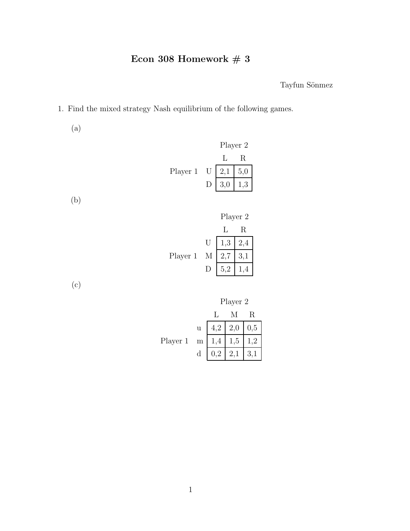Tayfun Sönmez

1. Find the mixed strategy Nash equilibrium of the following games.

(a)

Player 2 L R Player 1 U 2,1 5,0 D 3,0 1,3

(b)

|          |                | Player 2 |     |  |
|----------|----------------|----------|-----|--|
|          |                |          | R   |  |
|          | $\overline{U}$ | 1,3      | 2,4 |  |
| Player 1 | М              | 2,7      | 3,1 |  |
|          |                | 5,2      |     |  |

(c)



|          |             |     | M              | R   |
|----------|-------------|-----|----------------|-----|
|          | u           |     | $4,2 \mid 2,0$ | 0,5 |
| Player 1 | $\,$ m $\,$ | 1,4 | 1,5            | .2  |
|          | $\mathbf d$ | 0.2 |                |     |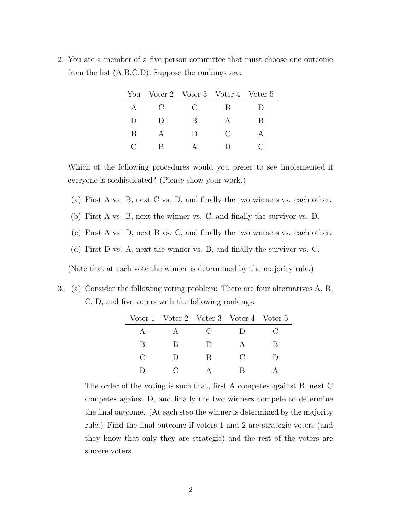2. You are a member of a five person committee that must choose one outcome from the list (A,B,C,D). Suppose the rankings are:

|              |                                                     | You Voter 2 Voter 3 Voter 4 Voter 5 |               |  |
|--------------|-----------------------------------------------------|-------------------------------------|---------------|--|
| $\mathsf{A}$ | $\left( \begin{array}{c} \cdot \end{array} \right)$ | $\mathfrak{g}$                      | R             |  |
| $\Box$       | I)                                                  | R                                   |               |  |
| B            |                                                     | $\Box$                              | $\mathcal{C}$ |  |
|              |                                                     |                                     |               |  |

Which of the following procedures would you prefer to see implemented if everyone is sophisticated? (Please show your work.)

- (a) First A vs. B, next C vs. D, and finally the two winners vs. each other.
- (b) First A vs. B, next the winner vs. C, and finally the survivor vs. D.
- (c) First A vs. D, next B vs. C, and finally the two winners vs. each other.
- (d) First D vs. A, next the winner vs. B, and finally the survivor vs. C.

(Note that at each vote the winner is determined by the majority rule.)

3. (a) Consider the following voting problem: There are four alternatives A, B, C, D, and five voters with the following rankings:

|               | Voter 1 Voter 2 Voter 3 Voter 4 Voter 5 |                |                |   |
|---------------|-----------------------------------------|----------------|----------------|---|
|               |                                         | $\mathfrak{g}$ | $\Box$         |   |
| B             | В                                       | I)             |                | R |
| $\mathcal{C}$ | Ð                                       | R              | $\mathfrak{g}$ |   |
|               |                                         |                | R              |   |

The order of the voting is such that, first A competes against B, next C competes against D, and finally the two winners compete to determine the final outcome. (At each step the winner is determined by the majority rule.) Find the final outcome if voters 1 and 2 are strategic voters (and they know that only they are strategic) and the rest of the voters are sincere voters.